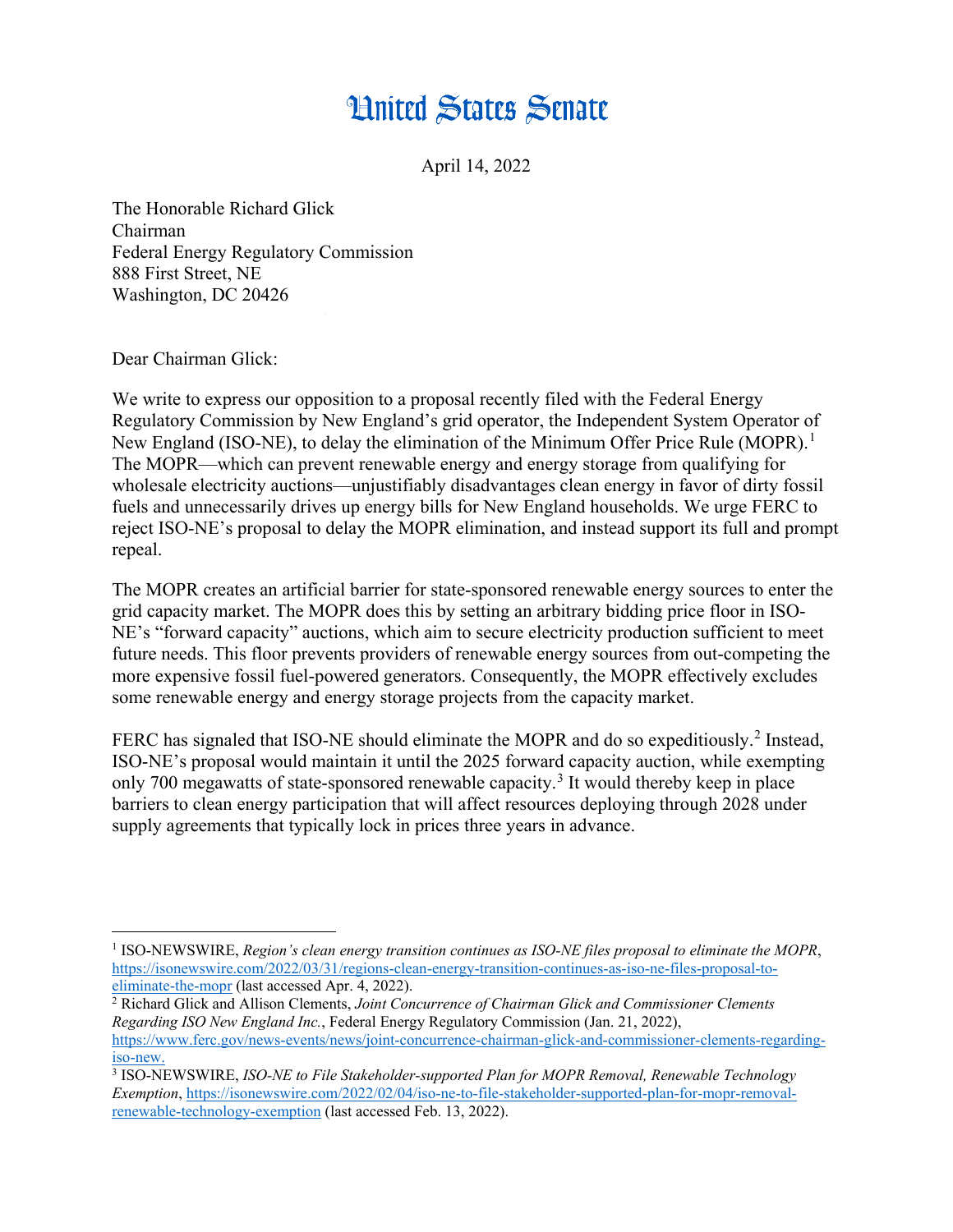## **Hnited States Senate**

April 14, 2022

The Honorable Richard Glick Chairman Federal Energy Regulatory Commission 888 First Street, NE Washington, DC 20426

Dear Chairman Glick:

 $\overline{a}$ 

We write to express our opposition to a proposal recently filed with the Federal Energy Regulatory Commission by New England's grid operator, the Independent System Operator of New England (ISO-NE), to delay the elimination of the Minimum Offer Price Rule (MOPR).<sup>1</sup> The MOPR—which can prevent renewable energy and energy storage from qualifying for wholesale electricity auctions—unjustifiably disadvantages clean energy in favor of dirty fossil fuels and unnecessarily drives up energy bills for New England households. We urge FERC to reject ISO-NE's proposal to delay the MOPR elimination, and instead support its full and prompt repeal.

The MOPR creates an artificial barrier for state-sponsored renewable energy sources to enter the grid capacity market. The MOPR does this by setting an arbitrary bidding price floor in ISO-NE's "forward capacity" auctions, which aim to secure electricity production sufficient to meet future needs. This floor prevents providers of renewable energy sources from out-competing the more expensive fossil fuel-powered generators. Consequently, the MOPR effectively excludes some renewable energy and energy storage projects from the capacity market.

FERC has signaled that ISO-NE should eliminate the MOPR and do so expeditiously.<sup>2</sup> Instead, ISO-NE's proposal would maintain it until the 2025 forward capacity auction, while exempting only 700 megawatts of state-sponsored renewable capacity.<sup>3</sup> It would thereby keep in place barriers to clean energy participation that will affect resources deploying through 2028 under supply agreements that typically lock in prices three years in advance.

<sup>1</sup> ISO-NEWSWIRE, *Region's clean energy transition continues as ISO-NE files proposal to eliminate the MOPR*, https://isonewswire.com/2022/03/31/regions-clean-energy-transition-continues-as-iso-ne-files-proposal-toeliminate-the-mopr (last accessed Apr. 4, 2022).

<sup>2</sup> Richard Glick and Allison Clements, *Joint Concurrence of Chairman Glick and Commissioner Clements Regarding ISO New England Inc.*, Federal Energy Regulatory Commission (Jan. 21, 2022), https://www.ferc.gov/news-events/news/joint-concurrence-chairman-glick-and-commissioner-clements-regardingiso-new.

<sup>3</sup> ISO-NEWSWIRE, *ISO-NE to File Stakeholder-supported Plan for MOPR Removal, Renewable Technology Exemption*, https://isonewswire.com/2022/02/04/iso-ne-to-file-stakeholder-supported-plan-for-mopr-removalrenewable-technology-exemption (last accessed Feb. 13, 2022).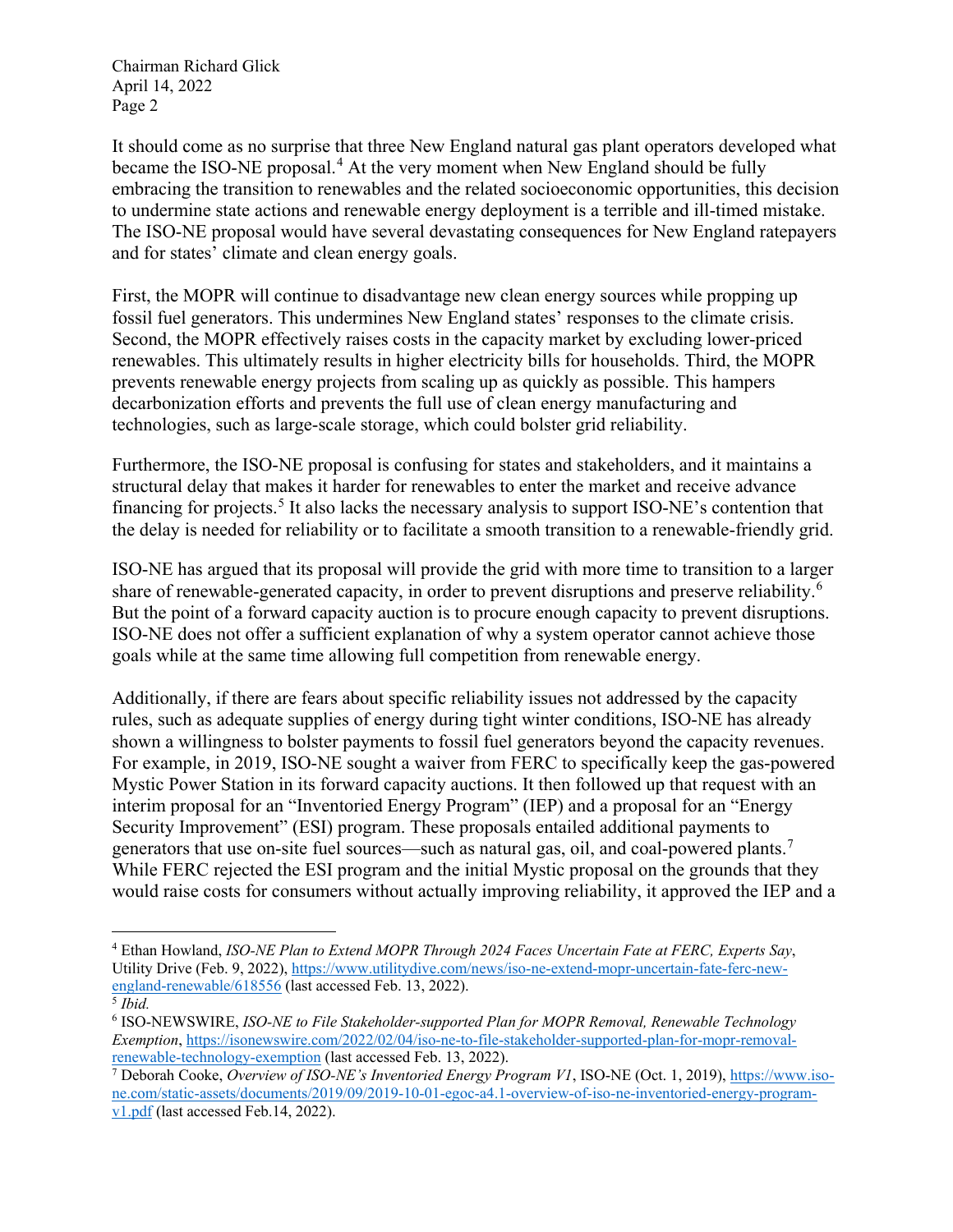Chairman Richard Glick April 14, 2022 Page 2

It should come as no surprise that three New England natural gas plant operators developed what became the ISO-NE proposal.<sup>4</sup> At the very moment when New England should be fully embracing the transition to renewables and the related socioeconomic opportunities, this decision to undermine state actions and renewable energy deployment is a terrible and ill-timed mistake. The ISO-NE proposal would have several devastating consequences for New England ratepayers and for states' climate and clean energy goals.

First, the MOPR will continue to disadvantage new clean energy sources while propping up fossil fuel generators. This undermines New England states' responses to the climate crisis. Second, the MOPR effectively raises costs in the capacity market by excluding lower-priced renewables. This ultimately results in higher electricity bills for households. Third, the MOPR prevents renewable energy projects from scaling up as quickly as possible. This hampers decarbonization efforts and prevents the full use of clean energy manufacturing and technologies, such as large-scale storage, which could bolster grid reliability.

Furthermore, the ISO-NE proposal is confusing for states and stakeholders, and it maintains a structural delay that makes it harder for renewables to enter the market and receive advance financing for projects.<sup>5</sup> It also lacks the necessary analysis to support ISO-NE's contention that the delay is needed for reliability or to facilitate a smooth transition to a renewable-friendly grid.

ISO-NE has argued that its proposal will provide the grid with more time to transition to a larger share of renewable-generated capacity, in order to prevent disruptions and preserve reliability.<sup>6</sup> But the point of a forward capacity auction is to procure enough capacity to prevent disruptions. ISO-NE does not offer a sufficient explanation of why a system operator cannot achieve those goals while at the same time allowing full competition from renewable energy.

Additionally, if there are fears about specific reliability issues not addressed by the capacity rules, such as adequate supplies of energy during tight winter conditions, ISO-NE has already shown a willingness to bolster payments to fossil fuel generators beyond the capacity revenues. For example, in 2019, ISO-NE sought a waiver from FERC to specifically keep the gas-powered Mystic Power Station in its forward capacity auctions. It then followed up that request with an interim proposal for an "Inventoried Energy Program" (IEP) and a proposal for an "Energy Security Improvement" (ESI) program. These proposals entailed additional payments to generators that use on-site fuel sources—such as natural gas, oil, and coal-powered plants.<sup>7</sup> While FERC rejected the ESI program and the initial Mystic proposal on the grounds that they would raise costs for consumers without actually improving reliability, it approved the IEP and a

 $\overline{a}$ <sup>4</sup> Ethan Howland, *ISO-NE Plan to Extend MOPR Through 2024 Faces Uncertain Fate at FERC, Experts Say*, Utility Drive (Feb. 9, 2022), https://www.utilitydive.com/news/iso-ne-extend-mopr-uncertain-fate-ferc-newengland-renewable/618556 (last accessed Feb. 13, 2022).

<sup>5</sup> *Ibid.* 

<sup>6</sup> ISO-NEWSWIRE, *ISO-NE to File Stakeholder-supported Plan for MOPR Removal, Renewable Technology Exemption*, https://isonewswire.com/2022/02/04/iso-ne-to-file-stakeholder-supported-plan-for-mopr-removalrenewable-technology-exemption (last accessed Feb. 13, 2022).

<sup>7</sup> Deborah Cooke, *Overview of ISO-NE's Inventoried Energy Program V1*, ISO-NE (Oct. 1, 2019), https://www.isone.com/static-assets/documents/2019/09/2019-10-01-egoc-a4.1-overview-of-iso-ne-inventoried-energy-programv1.pdf (last accessed Feb.14, 2022).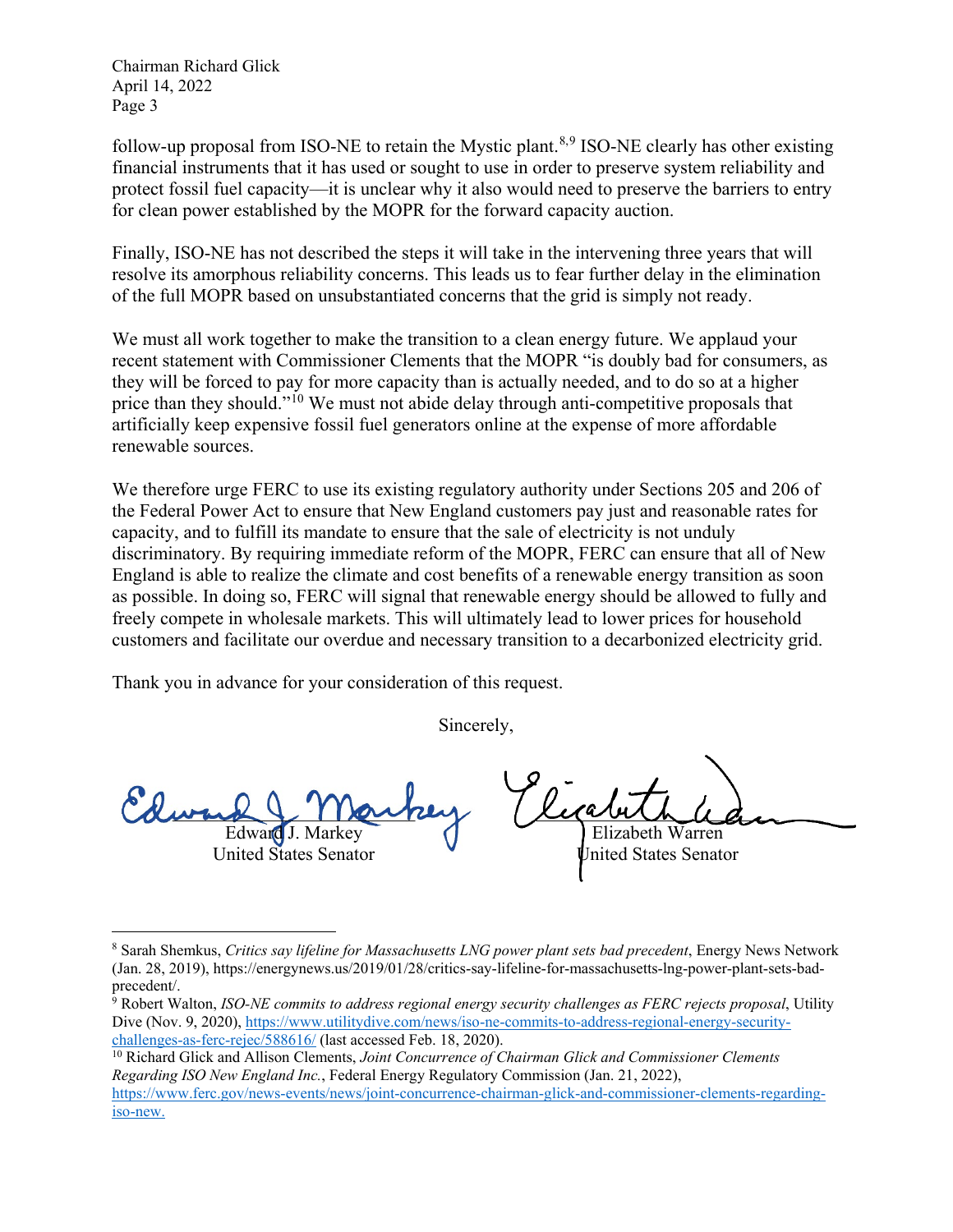Chairman Richard Glick April 14, 2022 Page 3

follow-up proposal from ISO-NE to retain the Mystic plant.<sup>8,9</sup> ISO-NE clearly has other existing financial instruments that it has used or sought to use in order to preserve system reliability and protect fossil fuel capacity—it is unclear why it also would need to preserve the barriers to entry for clean power established by the MOPR for the forward capacity auction.

Finally, ISO-NE has not described the steps it will take in the intervening three years that will resolve its amorphous reliability concerns. This leads us to fear further delay in the elimination of the full MOPR based on unsubstantiated concerns that the grid is simply not ready.

We must all work together to make the transition to a clean energy future. We applaud your recent statement with Commissioner Clements that the MOPR "is doubly bad for consumers, as they will be forced to pay for more capacity than is actually needed, and to do so at a higher price than they should."<sup>10</sup> We must not abide delay through anti-competitive proposals that artificially keep expensive fossil fuel generators online at the expense of more affordable renewable sources.

We therefore urge FERC to use its existing regulatory authority under Sections 205 and 206 of the Federal Power Act to ensure that New England customers pay just and reasonable rates for capacity, and to fulfill its mandate to ensure that the sale of electricity is not unduly discriminatory. By requiring immediate reform of the MOPR, FERC can ensure that all of New England is able to realize the climate and cost benefits of a renewable energy transition as soon as possible. In doing so, FERC will signal that renewable energy should be allowed to fully and freely compete in wholesale markets. This will ultimately lead to lower prices for household customers and facilitate our overdue and necessary transition to a decarbonized electricity grid.

Thank you in advance for your consideration of this request.

Sincerely,

 $w\rightarrow\bot$  / auto Edward United States Senator

 $\overline{a}$ 

 $Lic$  and  $L_{\rm{d}}$ Elizabeth Warren

United States Senator

<sup>8</sup> Sarah Shemkus, *Critics say lifeline for Massachusetts LNG power plant sets bad precedent*, Energy News Network (Jan. 28, 2019), https://energynews.us/2019/01/28/critics-say-lifeline-for-massachusetts-lng-power-plant-sets-bad-

 $\frac{1}{9}$  Robert Walton, *ISO-NE commits to address regional energy security challenges as FERC rejects proposal*, Utility Dive (Nov. 9, 2020), https://www.utilitydive.com/news/iso-ne-commits-to-address-regional-energy-securitychallenges-as-ferc-rejec/588616/ (last accessed Feb. 18, 2020). 10 Richard Glick and Allison Clements, *Joint Concurrence of Chairman Glick and Commissioner Clements* 

*Regarding ISO New England Inc.*, Federal Energy Regulatory Commission (Jan. 21, 2022),

https://www.ferc.gov/news-events/news/joint-concurrence-chairman-glick-and-commissioner-clements-regardingiso-new.